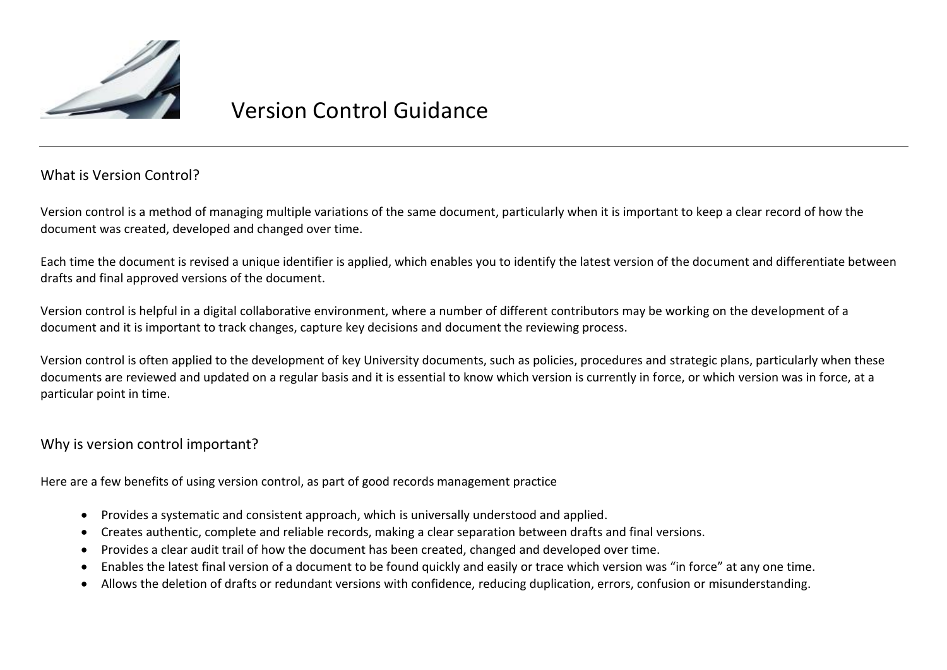

# Version Control Guidance

# What is Version Control?

Version control is a method of managing multiple variations of the same document, particularly when it is important to keep a clear record of how the document was created, developed and changed over time.

Each time the document is revised a unique identifier is applied, which enables you to identify the latest version of the document and differentiate between drafts and final approved versions of the document.

Version control is helpful in a digital collaborative environment, where a number of different contributors may be working on the development of a document and it is important to track changes, capture key decisions and document the reviewing process.

Version control is often applied to the development of key University documents, such as policies, procedures and strategic plans, particularly when these documents are reviewed and updated on a regular basis and it is essential to know which version is currently in force, or which version was in force, at a particular point in time.

## Why is version control important?

Here are a few benefits of using version control, as part of good records management practice

- Provides a systematic and consistent approach, which is universally understood and applied.
- Creates authentic, complete and reliable records, making a clear separation between drafts and final versions.
- Provides a clear audit trail of how the document has been created, changed and developed over time.
- Enables the latest final version of a document to be found quickly and easily or trace which version was "in force" at any one time.
- Allows the deletion of drafts or redundant versions with confidence, reducing duplication, errors, confusion or misunderstanding.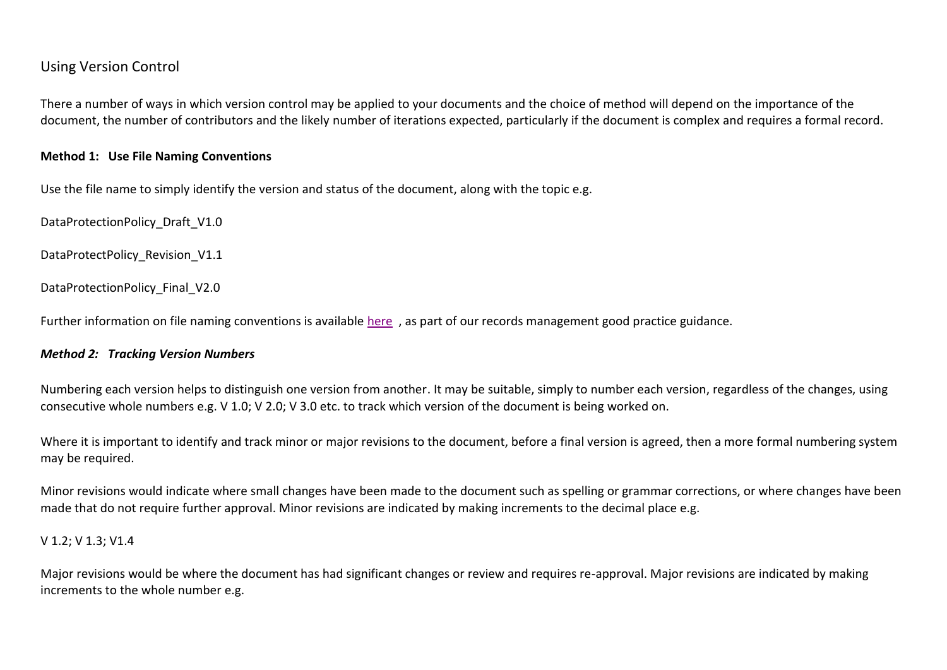## Using Version Control

There a number of ways in which version control may be applied to your documents and the choice of method will depend on the importance of the document, the number of contributors and the likely number of iterations expected, particularly if the document is complex and requires a formal record.

#### **Method 1: Use File Naming Conventions**

Use the file name to simply identify the version and status of the document, along with the topic e.g.

DataProtectionPolicy\_Draft\_V1.0

DataProtectPolicy Revision V1.1

DataProtectionPolicy\_Final\_V2.0

Further information on file naming conventions is available [here](https://www.abdn.ac.uk/staffnet/governance/university-records-management-280.php) , as part of our records management good practice guidance.

#### *Method 2: Tracking Version Numbers*

Numbering each version helps to distinguish one version from another. It may be suitable, simply to number each version, regardless of the changes, using consecutive whole numbers e.g. V 1.0; V 2.0; V 3.0 etc. to track which version of the document is being worked on.

Where it is important to identify and track minor or major revisions to the document, before a final version is agreed, then a more formal numbering system may be required.

Minor revisions would indicate where small changes have been made to the document such as spelling or grammar corrections, or where changes have been made that do not require further approval. Minor revisions are indicated by making increments to the decimal place e.g.

#### V 1.2; V 1.3; V1.4

Major revisions would be where the document has had significant changes or review and requires re-approval. Major revisions are indicated by making increments to the whole number e.g.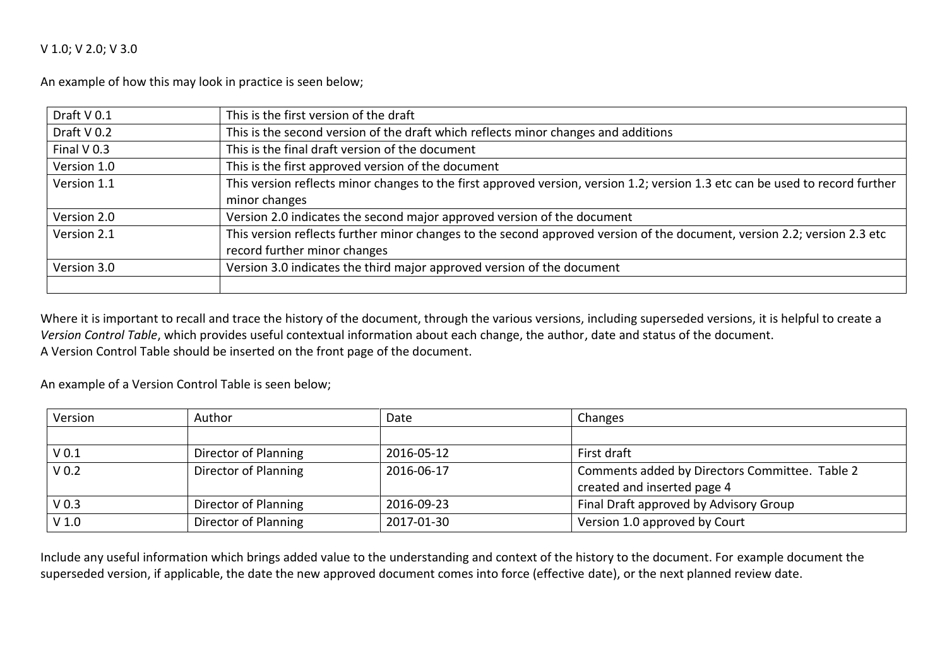#### V 1.0; V 2.0; V 3.0

An example of how this may look in practice is seen below;

| Draft V 0.1   | This is the first version of the draft                                                                                        |  |  |
|---------------|-------------------------------------------------------------------------------------------------------------------------------|--|--|
| Draft V 0.2   | This is the second version of the draft which reflects minor changes and additions                                            |  |  |
| Final $V$ 0.3 | This is the final draft version of the document                                                                               |  |  |
| Version 1.0   | This is the first approved version of the document                                                                            |  |  |
| Version 1.1   | This version reflects minor changes to the first approved version, version 1.2; version 1.3 etc can be used to record further |  |  |
|               | minor changes                                                                                                                 |  |  |
| Version 2.0   | Version 2.0 indicates the second major approved version of the document                                                       |  |  |
| Version 2.1   | This version reflects further minor changes to the second approved version of the document, version 2.2; version 2.3 etc      |  |  |
|               | record further minor changes                                                                                                  |  |  |
| Version 3.0   | Version 3.0 indicates the third major approved version of the document                                                        |  |  |
|               |                                                                                                                               |  |  |

Where it is important to recall and trace the history of the document, through the various versions, including superseded versions, it is helpful to create a *Version Control Table*, which provides useful contextual information about each change, the author, date and status of the document. A Version Control Table should be inserted on the front page of the document.

An example of a Version Control Table is seen below;

| Version          | Author               | Date       | Changes                                        |
|------------------|----------------------|------------|------------------------------------------------|
|                  |                      |            |                                                |
| V <sub>0.1</sub> | Director of Planning | 2016-05-12 | First draft                                    |
| V <sub>0.2</sub> | Director of Planning | 2016-06-17 | Comments added by Directors Committee. Table 2 |
|                  |                      |            | created and inserted page 4                    |
| V <sub>0.3</sub> | Director of Planning | 2016-09-23 | Final Draft approved by Advisory Group         |
| V <sub>1.0</sub> | Director of Planning | 2017-01-30 | Version 1.0 approved by Court                  |

Include any useful information which brings added value to the understanding and context of the history to the document. For example document the superseded version, if applicable, the date the new approved document comes into force (effective date), or the next planned review date.